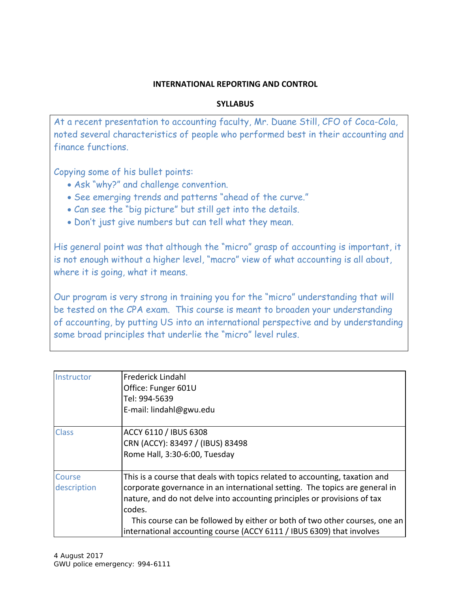# **INTERNATIONAL REPORTING AND CONTROL**

# **SYLLABUS**

At a recent presentation to accounting faculty, Mr. Duane Still, CFO of Coca-Cola, noted several characteristics of people who performed best in their accounting and finance functions.

Copying some of his bullet points:

- Ask "why?" and challenge convention.
- See emerging trends and patterns "ahead of the curve."
- Can see the "big picture" but still get into the details.
- Don't just give numbers but can tell what they mean.

His general point was that although the "micro" grasp of accounting is important, it is not enough without a higher level, "macro" view of what accounting is all about, where it is going, what it means.

Our program is very strong in training you for the "micro" understanding that will be tested on the CPA exam. This course is meant to broaden your understanding of accounting, by putting US into an international perspective and by understanding some broad principles that underlie the "micro" level rules.

| Instructor            | Frederick Lindahl<br>Office: Funger 601U<br>Tel: 994-5639<br>E-mail: lindahl@gwu.edu                                                                                                                                                                                                                                                                                                                    |
|-----------------------|---------------------------------------------------------------------------------------------------------------------------------------------------------------------------------------------------------------------------------------------------------------------------------------------------------------------------------------------------------------------------------------------------------|
| <b>Class</b>          | ACCY 6110 / IBUS 6308<br>CRN (ACCY): 83497 / (IBUS) 83498<br>Rome Hall, 3:30-6:00, Tuesday                                                                                                                                                                                                                                                                                                              |
| Course<br>description | This is a course that deals with topics related to accounting, taxation and<br>corporate governance in an international setting. The topics are general in<br>nature, and do not delve into accounting principles or provisions of tax<br>codes.<br>This course can be followed by either or both of two other courses, one an<br>international accounting course (ACCY 6111 / IBUS 6309) that involves |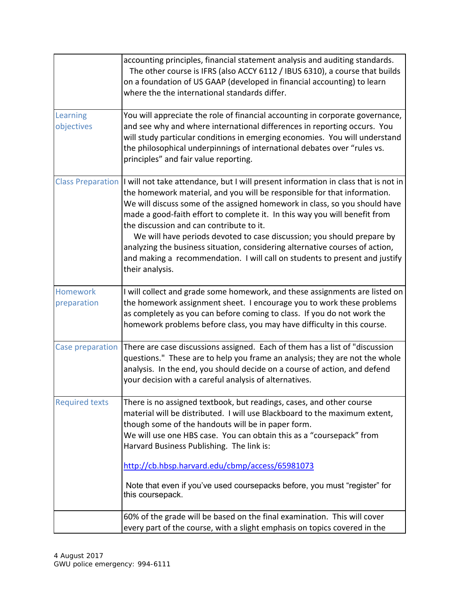|                                | accounting principles, financial statement analysis and auditing standards.<br>The other course is IFRS (also ACCY 6112 / IBUS 6310), a course that builds<br>on a foundation of US GAAP (developed in financial accounting) to learn<br>where the the international standards differ.                                                                                                                                                                                                                                                                                                                                                                 |
|--------------------------------|--------------------------------------------------------------------------------------------------------------------------------------------------------------------------------------------------------------------------------------------------------------------------------------------------------------------------------------------------------------------------------------------------------------------------------------------------------------------------------------------------------------------------------------------------------------------------------------------------------------------------------------------------------|
| Learning<br>objectives         | You will appreciate the role of financial accounting in corporate governance,<br>and see why and where international differences in reporting occurs. You<br>will study particular conditions in emerging economies. You will understand<br>the philosophical underpinnings of international debates over "rules vs.<br>principles" and fair value reporting.                                                                                                                                                                                                                                                                                          |
|                                | Class Preparation   I will not take attendance, but I will present information in class that is not in<br>the homework material, and you will be responsible for that information.<br>We will discuss some of the assigned homework in class, so you should have<br>made a good-faith effort to complete it. In this way you will benefit from<br>the discussion and can contribute to it.<br>We will have periods devoted to case discussion; you should prepare by<br>analyzing the business situation, considering alternative courses of action,<br>and making a recommendation. I will call on students to present and justify<br>their analysis. |
| <b>Homework</b><br>preparation | I will collect and grade some homework, and these assignments are listed on<br>the homework assignment sheet. I encourage you to work these problems<br>as completely as you can before coming to class. If you do not work the<br>homework problems before class, you may have difficulty in this course.                                                                                                                                                                                                                                                                                                                                             |
| Case preparation               | There are case discussions assigned. Each of them has a list of "discussion<br>questions." These are to help you frame an analysis; they are not the whole<br>analysis. In the end, you should decide on a course of action, and defend<br>your decision with a careful analysis of alternatives.                                                                                                                                                                                                                                                                                                                                                      |
| <b>Required texts</b>          | There is no assigned textbook, but readings, cases, and other course<br>material will be distributed. I will use Blackboard to the maximum extent,<br>though some of the handouts will be in paper form.<br>We will use one HBS case. You can obtain this as a "coursepack" from<br>Harvard Business Publishing. The link is:<br>http://cb.hbsp.harvard.edu/cbmp/access/65981073<br>Note that even if you've used coursepacks before, you must "register" for<br>this coursepack.                                                                                                                                                                      |
|                                | 60% of the grade will be based on the final examination. This will cover<br>every part of the course, with a slight emphasis on topics covered in the                                                                                                                                                                                                                                                                                                                                                                                                                                                                                                  |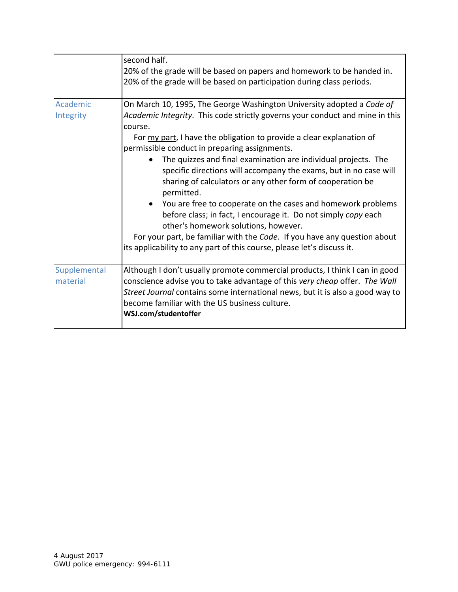|                          | second half.<br>20% of the grade will be based on papers and homework to be handed in.<br>20% of the grade will be based on participation during class periods.                                                                                                                                                                                                                                                                                                                                                                                                                                                                                                                                                                                                                                                                                |
|--------------------------|------------------------------------------------------------------------------------------------------------------------------------------------------------------------------------------------------------------------------------------------------------------------------------------------------------------------------------------------------------------------------------------------------------------------------------------------------------------------------------------------------------------------------------------------------------------------------------------------------------------------------------------------------------------------------------------------------------------------------------------------------------------------------------------------------------------------------------------------|
| Academic<br>Integrity    | On March 10, 1995, The George Washington University adopted a Code of<br>Academic Integrity. This code strictly governs your conduct and mine in this<br>course.<br>For my part, I have the obligation to provide a clear explanation of<br>permissible conduct in preparing assignments.<br>The quizzes and final examination are individual projects. The<br>specific directions will accompany the exams, but in no case will<br>sharing of calculators or any other form of cooperation be<br>permitted.<br>• You are free to cooperate on the cases and homework problems<br>before class; in fact, I encourage it. Do not simply copy each<br>other's homework solutions, however.<br>For your part, be familiar with the Code. If you have any question about<br>its applicability to any part of this course, please let's discuss it. |
| Supplemental<br>material | Although I don't usually promote commercial products, I think I can in good<br>conscience advise you to take advantage of this very cheap offer. The Wall<br>Street Journal contains some international news, but it is also a good way to<br>become familiar with the US business culture.<br>WSJ.com/studentoffer                                                                                                                                                                                                                                                                                                                                                                                                                                                                                                                            |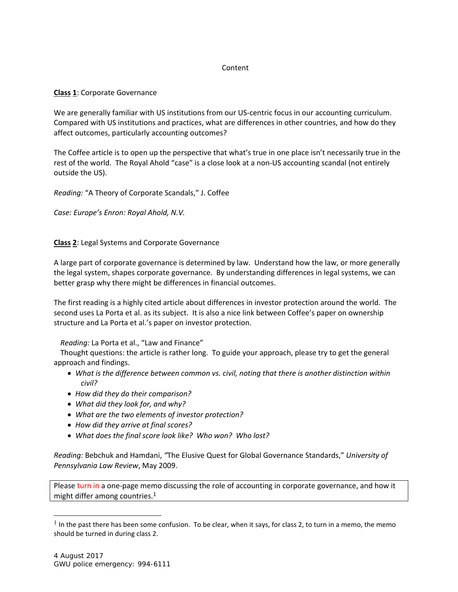# Content

## **Class 1**: Corporate Governance

We are generally familiar with US institutions from our US-centric focus in our accounting curriculum. Compared with US institutions and practices, what are differences in other countries, and how do they affect outcomes, particularly accounting outcomes?

The Coffee article is to open up the perspective that what's true in one place isn't necessarily true in the rest of the world. The Royal Ahold "case" is a close look at a non-US accounting scandal (not entirely outside the US).

*Reading:* "A Theory of Corporate Scandals," J. Coffee

*Case: Europe's Enron: Royal Ahold, N.V.* 

# **Class 2**: Legal Systems and Corporate Governance

A large part of corporate governance is determined by law. Understand how the law, or more generally the legal system, shapes corporate governance. By understanding differences in legal systems, we can better grasp why there might be differences in financial outcomes.

The first reading is a highly cited article about differences in investor protection around the world. The second uses La Porta et al. as its subject. It is also a nice link between Coffee's paper on ownership structure and La Porta et al.'s paper on investor protection.

## *Reading:* La Porta et al., "Law and Finance"

 Thought questions: the article is rather long. To guide your approach, please try to get the general approach and findings.

- *What is the difference between common vs. civil, noting that there is another distinction within civil?*
- *How did they do their comparison?*
- *What did they look for, and why?*
- *What are the two elements of investor protection?*
- *How did they arrive at final scores?*
- *What does the final score look like? Who won? Who lost?*

*Reading:* Bebchuk and Hamdani, *"*The Elusive Quest for Global Governance Standards," *University of Pennsylvania Law Review*, May 2009.

Please turn in a one-page memo discussing the role of accounting in corporate governance, and how it might differ among countries.1

 $\overline{a}$ 

 $<sup>1</sup>$  In the past there has been some confusion. To be clear, when it says, for class 2, to turn in a memo, the memo</sup> should be turned in during class 2.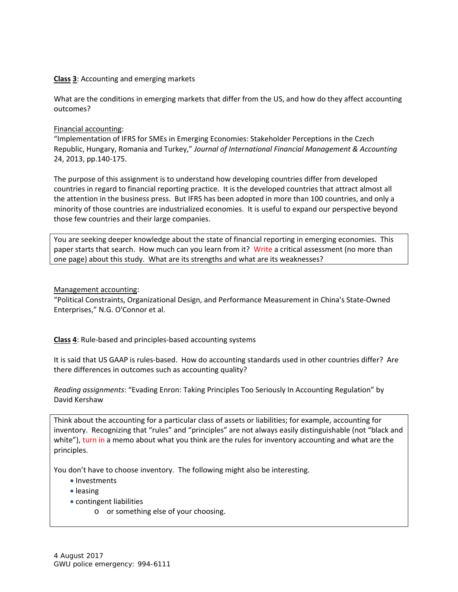## **Class 3**: Accounting and emerging markets

What are the conditions in emerging markets that differ from the US, and how do they affect accounting outcomes?

#### Financial accounting:

"Implementation of IFRS for SMEs in Emerging Economies: Stakeholder Perceptions in the Czech Republic, Hungary, Romania and Turkey," *Journal of International Financial Management & Accounting* 24, 2013, pp.140‐175.

The purpose of this assignment is to understand how developing countries differ from developed countries in regard to financial reporting practice. It is the developed countries that attract almost all the attention in the business press. But IFRS has been adopted in more than 100 countries, and only a minority of those countries are industrialized economies. It is useful to expand our perspective beyond those few countries and their large companies.

You are seeking deeper knowledge about the state of financial reporting in emerging economies. This paper starts that search. How much can you learn from it? Write a critical assessment (no more than one page) about this study. What are its strengths and what are its weaknesses?

## Management accounting:

"Political Constraints, Organizational Design, and Performance Measurement in China's State‐Owned Enterprises," N.G. O'Connor et al.

**Class 4**: Rule‐based and principles‐based accounting systems

It is said that US GAAP is rules‐based. How do accounting standards used in other countries differ? Are there differences in outcomes such as accounting quality?

*Reading assignments*: "Evading Enron: Taking Principles Too Seriously In Accounting Regulation" by David Kershaw

Think about the accounting for a particular class of assets or liabilities; for example, accounting for inventory. Recognizing that "rules" and "principles" are not always easily distinguishable (not "black and white"), turn in a memo about what you think are the rules for inventory accounting and what are the principles.

You don't have to choose inventory. The following might also be interesting.

- Investments
- leasing
- contingent liabilities
	- o or something else of your choosing.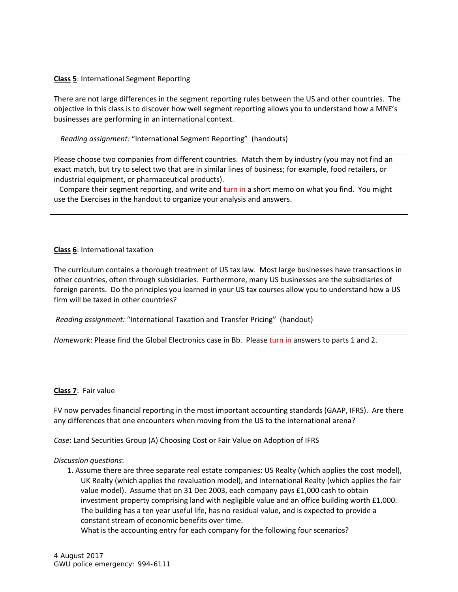## **Class 5**: International Segment Reporting

There are not large differences in the segment reporting rules between the US and other countries. The objective in this class is to discover how well segment reporting allows you to understand how a MNE's businesses are performing in an international context.

## *Reading assignment:* "International Segment Reporting" (handouts)

Please choose two companies from different countries. Match them by industry (you may not find an exact match, but try to select two that are in similar lines of business; for example, food retailers, or industrial equipment, or pharmaceutical products).

 Compare their segment reporting, and write and turn in a short memo on what you find. You might use the Exercises in the handout to organize your analysis and answers.

## **Class 6**: International taxation

The curriculum contains a thorough treatment of US tax law. Most large businesses have transactions in other countries, often through subsidiaries. Furthermore, many US businesses are the subsidiaries of foreign parents. Do the principles you learned in your US tax courses allow you to understand how a US firm will be taxed in other countries?

#### *Reading assignment:* "International Taxation and Transfer Pricing" (handout)

*Homework*: Please find the Global Electronics case in Bb. Please turn in answers to parts 1 and 2.

#### **Class 7**: Fair value

FV now pervades financial reporting in the most important accounting standards (GAAP, IFRS). Are there any differences that one encounters when moving from the US to the international arena?

*Case*: Land Securities Group (A) Choosing Cost or Fair Value on Adoption of IFRS

#### *Discussion questions*:

1. Assume there are three separate real estate companies: US Realty (which applies the cost model), UK Realty (which applies the revaluation model), and International Realty (which applies the fair value model). Assume that on 31 Dec 2003, each company pays £1,000 cash to obtain investment property comprising land with negligible value and an office building worth £1,000. The building has a ten year useful life, has no residual value, and is expected to provide a constant stream of economic benefits over time.

What is the accounting entry for each company for the following four scenarios?